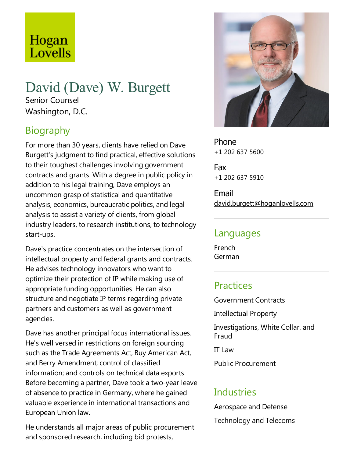# Hogan Lovells

#### David (Dave) W. Burgett Senior Counsel

Washington, D.C.

# Biography

For more than 30 years, clients have relied on Dave Burgett's judgment to find practical, effective solutions to their toughest challenges involving government contracts and grants. With a degree in public policy in addition to his legal training, Dave employs an uncommon grasp of statistical and quantitative analysis, economics, bureaucratic politics, and legal analysis to assist a variety of clients, from global industry leaders, to research institutions, to technology start-ups.

Dave's practice concentrates on the intersection of intellectual property and federal grants and contracts. He advises technology innovators who want to optimize their protection of IP while making use of appropriate funding opportunities. He can also structure and negotiate IP terms regarding private partners and customers as well as government agencies.

Dave has another principal focus international issues. He's well versed in restrictions on foreign sourcing such as the Trade Agreements Act, Buy American Act, and Berry Amendment; control of classified information; and controls on technical data exports. Before becoming a partner, Dave took a two-year leave of absence to practice in Germany, where he gained valuable experience in international transactions and European Union law.

He understands all major areas of public procurement and sponsored research, including bid protests,



Phone +1 202 637 5600

Fax +1 202 637 5910

Email david.burgett@hoganlovells.com

#### Languages

French German

## Practices

Government Contracts Intellectual Property Investigations, White Collar, and Fraud IT Law

Public Procurement

## Industries

Aerospace and Defense Technology and Telecoms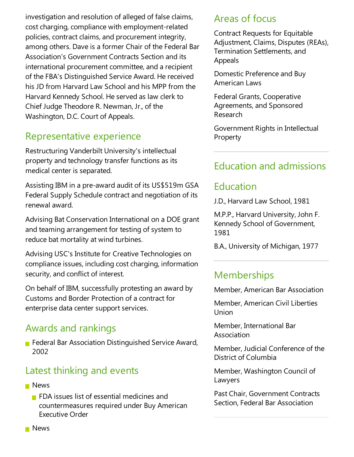investigation and resolution of alleged of false claims, cost charging, compliance with employment-related policies, contract claims, and procurement integrity, among others. Dave is a former Chair of the Federal Bar Association's Government Contracts Section and its international procurement committee, and a recipient of the FBA's Distinguished Service Award. He received his JD from Harvard Law School and his MPP from the Harvard Kennedy School. He served as law clerk to Chief Judge Theodore R. Newman, Jr., of the Washington, D.C. Court of Appeals.

#### Representative experience

Restructuring Vanderbilt University's intellectual property and technology transfer functions as its medical center is separated.

Assisting IBM in a pre-award audit of its US\$519m GSA Federal Supply Schedule contract and negotiation of its renewal award.

Advising Bat Conservation International on a DOE grant and teaming arrangement for testing of system to reduce bat mortality at wind turbines.

Advising USC's Institute for Creative Technologies on compliance issues, including cost charging, information security, and conflict of interest.

On behalf of IBM, successfully protesting an award by Customs and Border Protection of a contract for enterprise data center support services.

#### Awards and rankings

**F** Federal Bar Association Distinguished Service Award, 2002

#### Latest thinking and events

- **News** 
	- $\blacksquare$  FDA issues list of essential medicines and countermeasures required under Buy American Executive Order

#### Areas of focus

Contract Requests for Equitable Adjustment, Claims, Disputes (REAs), Termination Settlements, and Appeals

Domestic Preference and Buy American Laws

Federal Grants, Cooperative Agreements, and Sponsored Research

Government Rights in Intellectual **Property** 

## Education and admissions

#### Education

J.D., Harvard Law School, 1981

M.P.P., Harvard University, John F. Kennedy School of Government, 1981

B.A., University of Michigan, 1977

# **Memberships**

Member, American Bar Association

Member, American Civil Liberties Union

Member, International Bar Association

Member, Judicial Conference of the District of Columbia

Member, Washington Council of Lawyers

Past Chair, Government Contracts Section, Federal Bar Association

**News**